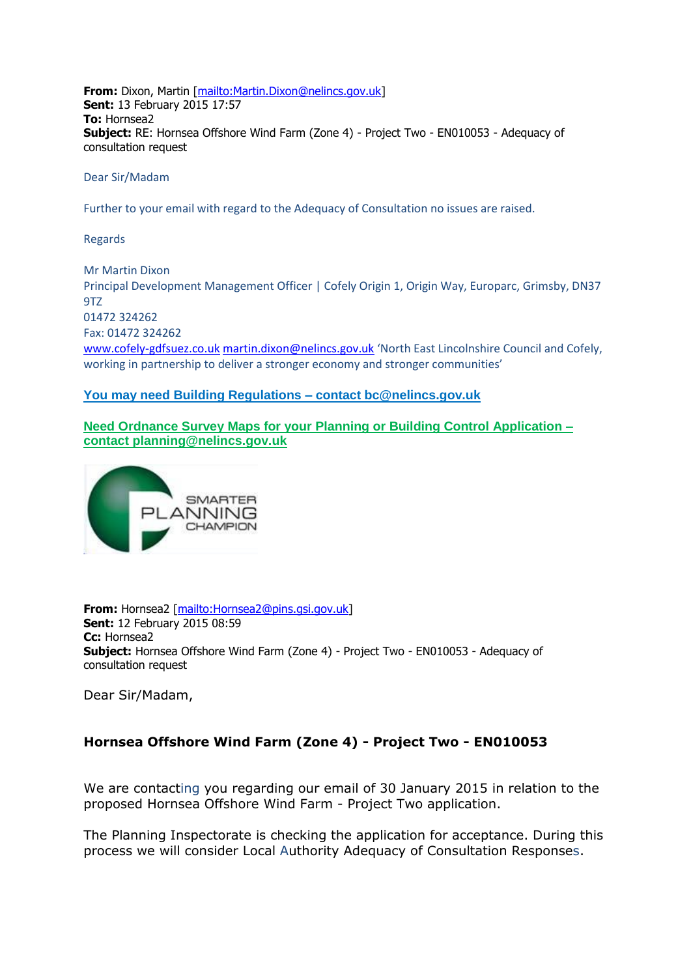**From:** Dixon, Martin [\[mailto:Martin.Dixon@nelincs.gov.uk\]](mailto:Martin.Dixon@nelincs.gov.uk) **Sent:** 13 February 2015 17:57 **To:** Hornsea2 **Subject:** RE: Hornsea Offshore Wind Farm (Zone 4) - Project Two - EN010053 - Adequacy of consultation request

Dear Sir/Madam

Further to your email with regard to the Adequacy of Consultation no issues are raised.

Regards

Mr Martin Dixon Principal Development Management Officer | Cofely Origin 1, Origin Way, Europarc, Grimsby, DN37 9TZ 01472 324262 Fax: 01472 324262 [www.cofely-gdfsuez.co.uk](http://www.cofely-gdfsuez.co.uk/) [martin.dixon@nelincs.gov.uk](mailto:martin.dixon@nelincs.gov.uk) 'North East Lincolnshire Council and Cofely, working in partnership to deliver a stronger economy and stronger communities'

## **[You](blocked::http://www.west-lindsey.gov.uk/residents/planning-and-building/building-control/the-benefits-of-using-local-authority-building-control/) may need Building Regulations – contact [bc@nelincs.gov.uk](mailto:bc@nelincs.gov.uk)**

**Need Ordnance Survey Maps for your Planning or Building Control Application – contact [planning@nelincs.gov.uk](mailto:planning@nelincs.gov.uk)**



**From:** Hornsea2 [\[mailto:Hornsea2@pins.gsi.gov.uk\]](mailto:Hornsea2@pins.gsi.gov.uk) **Sent:** 12 February 2015 08:59 **Cc:** Hornsea2 **Subject:** Hornsea Offshore Wind Farm (Zone 4) - Project Two - EN010053 - Adequacy of consultation request

Dear Sir/Madam,

## **Hornsea Offshore Wind Farm (Zone 4) - Project Two - EN010053**

We are contacting you regarding our email of 30 January 2015 in relation to the proposed Hornsea Offshore Wind Farm - Project Two application.

The Planning Inspectorate is checking the application for acceptance. During this process we will consider Local Authority Adequacy of Consultation Responses.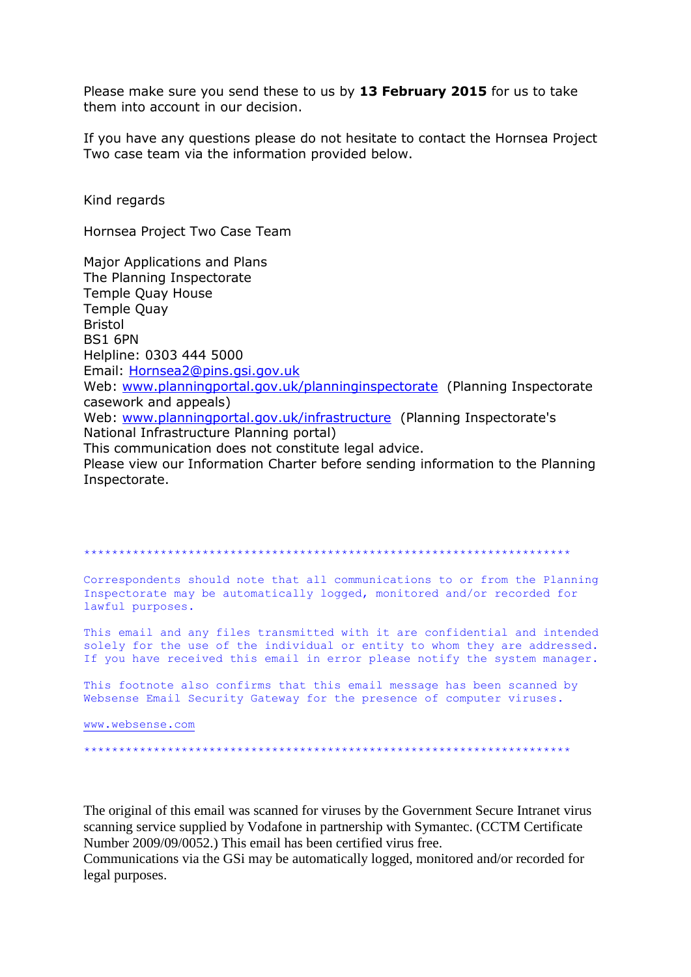Please make sure you send these to us by 13 February 2015 for us to take them into account in our decision.

If you have any questions please do not hesitate to contact the Hornsea Project Two case team via the information provided below.

Kind regards

Hornsea Project Two Case Team

Major Applications and Plans The Planning Inspectorate Temple Quay House **Temple Quay Bristol BS1 6PN** Helpline: 0303 444 5000 Email: Hornsea2@pins.gsi.gov.uk Web: www.planningportal.gov.uk/planninginspectorate (Planning Inspectorate casework and appeals) Web: www.planningportal.gov.uk/infrastructure (Planning Inspectorate's National Infrastructure Planning portal) This communication does not constitute legal advice. Please view our Information Charter before sending information to the Planning Inspectorate.

Correspondents should note that all communications to or from the Planning Inspectorate may be automatically logged, monitored and/or recorded for lawful purposes.

This email and any files transmitted with it are confidential and intended solely for the use of the individual or entity to whom they are addressed. If you have received this email in error please notify the system manager.

This footnote also confirms that this email message has been scanned by Websense Email Security Gateway for the presence of computer viruses.

www.websense.com

The original of this email was scanned for viruses by the Government Secure Intranet virus scanning service supplied by Vodafone in partnership with Symantec. (CCTM Certificate Number 2009/09/0052.) This email has been certified virus free.

Communications via the GSi may be automatically logged, monitored and/or recorded for legal purposes.